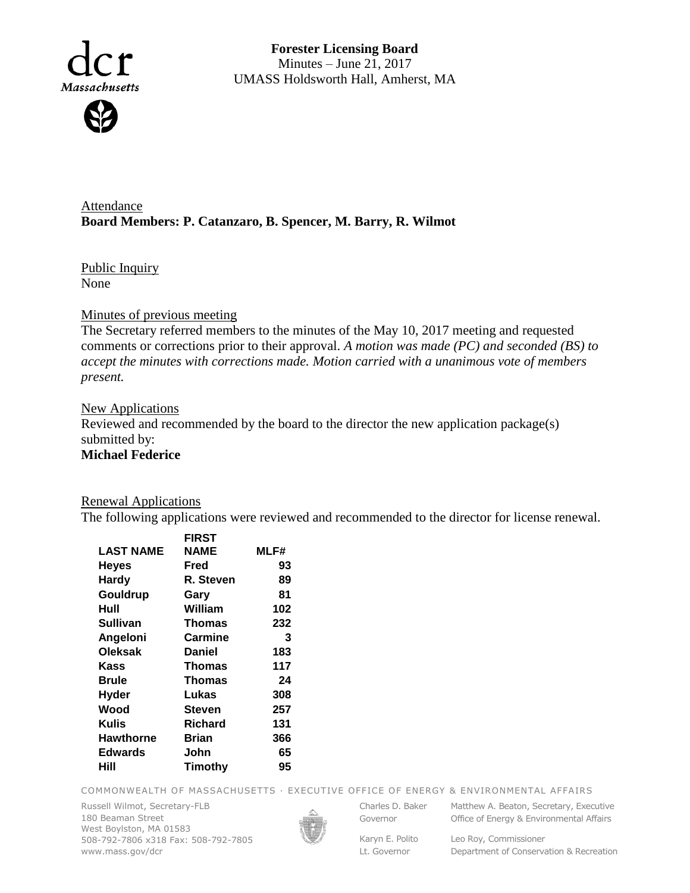

**Forester Licensing Board**  Minutes – June 21, 2017 UMASS Holdsworth Hall, Amherst, MA

Attendance **Board Members: P. Catanzaro, B. Spencer, M. Barry, R. Wilmot**

Public Inquiry None

#### Minutes of previous meeting

The Secretary referred members to the minutes of the May 10, 2017 meeting and requested comments or corrections prior to their approval. *A motion was made (PC) and seconded (BS) to accept the minutes with corrections made. Motion carried with a unanimous vote of members present.*

### **New Applications**

Reviewed and recommended by the board to the director the new application package(s) submitted by: **Michael Federice**

#### Renewal Applications

The following applications were reviewed and recommended to the director for license renewal.

|                  | <b>FIRST</b>  |      |
|------------------|---------------|------|
| <b>LAST NAME</b> | NAME          | MLF# |
| <b>Heyes</b>     | Fred          | 93   |
| Hardy            | R. Steven     | 89   |
| Gouldrup         | Gary          | 81   |
| Hull             | William       | 102  |
| Sullivan         | <b>Thomas</b> | 232  |
| Angeloni         | Carmine       | 3    |
| <b>Oleksak</b>   | <b>Daniel</b> | 183  |
| Kass             | <b>Thomas</b> | 117  |
| Brule            | Thomas        | 24   |
| <b>Hyder</b>     | Lukas         | 308  |
| Wood             | Steven        | 257  |
| Kulis            | Richard       | 131  |
| <b>Hawthorne</b> | Brian         | 366  |
| <b>Edwards</b>   | John          | 65   |
| Hill             | Timothy       | 95   |
|                  |               |      |

COMMONWEALTH OF MASSACHUSETTS · EXECUTIVE OFFICE OF ENERGY & ENVIRONMENTAL AFFAIRS

Russell Wilmot, Secretary-FLB 180 Beaman Street West Boylston, MA 01583 508-792-7806 x318 Fax: 508-792-7805 www.mass.gov/dcr



Governor

Karyn E. Polito

Charles D. Baker Matthew A. Beaton, Secretary, Executive Office of Energy & Environmental Affairs

Lt. Governor Leo Roy, Commissioner

Department of Conservation & Recreation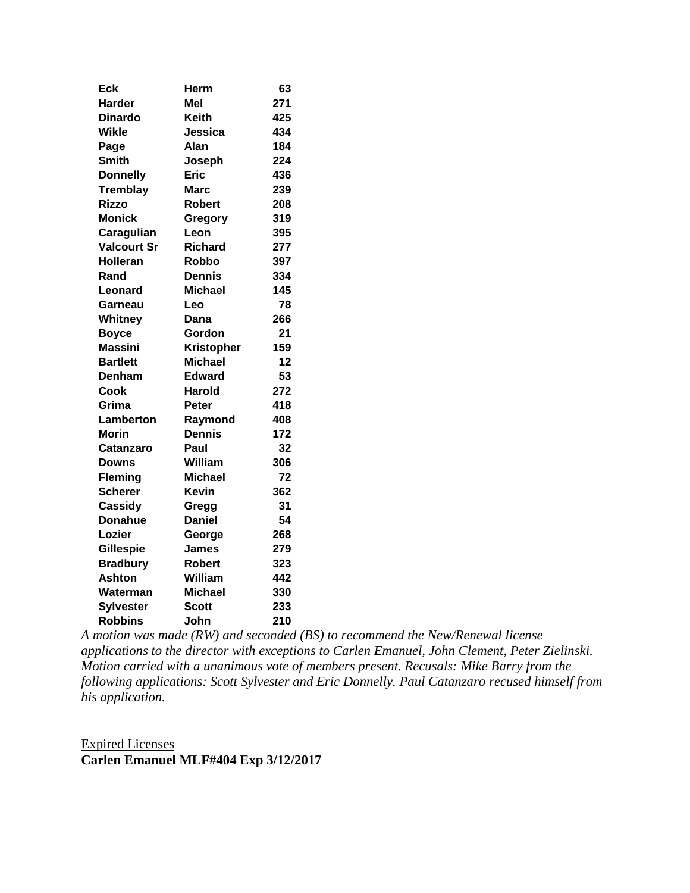| <b>Eck</b>         | Herm              | 63  |
|--------------------|-------------------|-----|
| <b>Harder</b>      | Mel               | 271 |
| <b>Dinardo</b>     | <b>Keith</b>      | 425 |
| <b>Wikle</b>       | Jessica           | 434 |
| Page               | Alan              | 184 |
| <b>Smith</b>       | Joseph            | 224 |
| <b>Donnelly</b>    | <b>Eric</b>       | 436 |
| <b>Tremblay</b>    | <b>Marc</b>       | 239 |
| <b>Rizzo</b>       | Robert            | 208 |
| <b>Monick</b>      | Gregory           | 319 |
| Caragulian         | Leon              | 395 |
| <b>Valcourt Sr</b> | Richard           | 277 |
| <b>Holleran</b>    | Robbo             | 397 |
| Rand               | Dennis            | 334 |
| Leonard            | <b>Michael</b>    | 145 |
| Garneau            | Leo               | 78  |
| Whitney            | Dana              | 266 |
| <b>Boyce</b>       | Gordon            | 21  |
| <b>Massini</b>     | <b>Kristopher</b> | 159 |
| <b>Bartlett</b>    | <b>Michael</b>    | 12  |
| Denham             | <b>Edward</b>     | 53  |
| Cook               | Harold            | 272 |
| Grima              | Peter             | 418 |
| Lamberton          | Raymond           | 408 |
| <b>Morin</b>       | <b>Dennis</b>     | 172 |
| Catanzaro          | Paul              | 32  |
| <b>Downs</b>       | William           | 306 |
| <b>Fleming</b>     | <b>Michael</b>    | 72  |
| <b>Scherer</b>     | <b>Kevin</b>      | 362 |
| Cassidy            | Gregg             | 31  |
| <b>Donahue</b>     | <b>Daniel</b>     | 54  |
| Lozier             | George            | 268 |
| <b>Gillespie</b>   | James             | 279 |
| <b>Bradbury</b>    | <b>Robert</b>     | 323 |
| <b>Ashton</b>      | William           | 442 |
| Waterman           | <b>Michael</b>    | 330 |
| <b>Sylvester</b>   | <b>Scott</b>      | 233 |
| <b>Robbins</b>     | John              | 210 |

*A motion was made (RW) and seconded (BS) to recommend the New/Renewal license applications to the director with exceptions to Carlen Emanuel, John Clement, Peter Zielinski. Motion carried with a unanimous vote of members present. Recusals: Mike Barry from the following applications: Scott Sylvester and Eric Donnelly. Paul Catanzaro recused himself from his application.*

Expired Licenses **Carlen Emanuel MLF#404 Exp 3/12/2017**